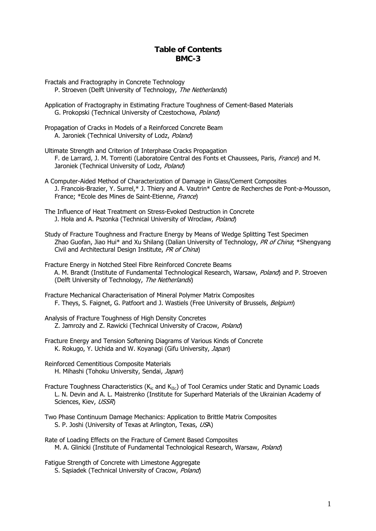## **Table of Contents BMC-3**

- Fractals and Fractography in Concrete Technology P. Stroeven (Delft University of Technology, The Netherlands)
- Application of Fractography in Estimating Fracture Toughness of Cement-Based Materials G. Prokopski (Technical University of Czestochowa, Poland)
- Propagation of Cracks in Models of a Reinforced Concrete Beam A. Jaroniek (Technical University of Lodz, Poland)
- Ultimate Strength and Criterion of Interphase Cracks Propagation F. de Larrard, J. M. Torrenti (Laboratoire Central des Fonts et Chaussees, Paris, France) and M. Jaroniek (Technical University of Lodz, Poland)
- A Computer-Aided Method of Characterization of Damage in Glass/Cement Composites J. Francois-Brazier, Y. Surrel,\* J. Thiery and A. Vautrin\* Centre de Recherches de Pont-a-Mousson, France; \*Ecole des Mines de Saint-Etienne, France)
- The Influence of Heat Treatment on Stress-Evoked Destruction in Concrete J. Hoła and A. Pszonka (Technical University of Wroclaw, Poland)
- Study of Fracture Toughness and Fracture Energy by Means of Wedge Splitting Test Specimen Zhao Guofan, Jiao Hui\* and Xu Shilang (Dalian University of Technology, PR of China; \*Shengyang Civil and Architectural Design Institute, PR of China)

Fracture Energy in Notched Steel Fibre Reinforced Concrete Beams A. M. Brandt (Institute of Fundamental Technological Research, Warsaw, Poland) and P. Stroeven (Delft University of Technology, The Netherlands)

- Fracture Mechanical Characterisation of Mineral Polymer Matrix Composites F. Theys, S. Faignet, G. Patfoort and J. Wastiels (Free University of Brussels, Belgium)
- Analysis of Fracture Toughness of High Density Concretes Z. Jamroży and Z. Rawicki (Technical University of Cracow, Poland)
- Fracture Energy and Tension Softening Diagrams of Various Kinds of Concrete K. Rokugo, Y. Uchida and W. Koyanagi (Gifu University, Japan)
- Reinforced Cementitious Composite Materials H. Mihashi (Tohoku University, Sendai, Japan)
- Fracture Toughness Characteristics ( $K_{\text{ic}}$  and  $K_{\text{IIc}}$ ) of Tool Ceramics under Static and Dynamic Loads L. N. Devin and A. L. Maistrenko (Institute for Superhard Materials of the Ukrainian Academy of Sciences, Kiev, USSR)
- Two Phase Continuum Damage Mechanics: Application to Brittle Matrix Composites S. P. Joshi (University of Texas at Arlington, Texas, USA)
- Rate of Loading Effects on the Fracture of Cement Based Composites M. A. Glinicki (Institute of Fundamental Technological Research, Warsaw, Poland)
- Fatigue Strength of Concrete with Limestone Aggregate S. Sąsiadek (Technical University of Cracow, Poland)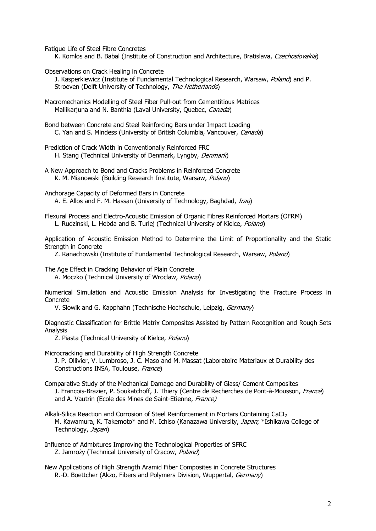Fatigue Life of Steel Fibre Concretes

K. Komlos and B. Babal (Institute of Construction and Architecture, Bratislava, Czechoslovakia)

Observations on Crack Healing in Concrete

J. Kasperkiewicz (Institute of Fundamental Technological Research, Warsaw, Poland) and P. Stroeven (Delft University of Technology, The Netherlands)

Macromechanics Modelling of Steel Fiber Pull-out from Cementitious Matrices Mallikarjuna and N. Banthia (Laval University, Quebec, Canada)

Bond between Concrete and Steel Reinforcing Bars under Impact Loading C. Yan and S. Mindess (University of British Columbia, Vancouver, Canada)

Prediction of Crack Width in Conventionally Reinforced FRC H. Stang (Technical University of Denmark, Lyngby, Denmark)

A New Approach to Bond and Cracks Problems in Reinforced Concrete K. M. Mianowski (Building Research Institute, Warsaw, Poland)

Anchorage Capacity of Deformed Bars in Concrete A. E. Allos and F. M. Hassan (University of Technology, Baghdad, *Iraq*)

Flexural Process and Electro-Acoustic Emission of Organic Fibres Reinforced Mortars (OFRM) L. Rudzinski, L. Hebda and B. Turlej (Technical University of Kielce, Poland)

Application of Acoustic Emission Method to Determine the Limit of Proportionality and the Static Strength in Concrete

Z. Ranachowski (Institute of Fundamental Technological Research, Warsaw, Poland)

The Age Effect in Cracking Behavior of Plain Concrete

A. Moczko (Technical University of Wroclaw, Poland)

Numerical Simulation and Acoustic Emission Analysis for Investigating the Fracture Process in Concrete

V. Slowik and G. Kapphahn (Technische Hochschule, Leipzig, Germany)

Diagnostic Classification for Brittle Matrix Composites Assisted by Pattern Recognition and Rough Sets Analysis

Z. Piasta (Technical University of Kielce, Poland)

Microcracking and Durability of High Strength Concrete

 J. P. Ollivier, V. Lumbroso, J. C. Maso and M. Massat (Laboratoire Materiaux et Durability des Constructions INSA, Toulouse, France)

Comparative Study of the Mechanical Damage and Durability of Glass/ Cement Composites J. Francois-Brazier, P. Soukatchoff, J. Thiery (Centre de Recherches de Pont-à-Mousson, France) and A. Vautrin (Ecole des Mines de Saint-Etienne, France)

Alkali-Silica Reaction and Corrosion of Steel Reinforcement in Mortars Containing CaCI<sub>2</sub> M. Kawamura, K. Takemoto\* and M. Ichiso (Kanazawa University, Japan; \*Ishikawa College of Technology, Japan)

Influence of Admixtures Improving the Technological Properties of SFRC Z. Jamroży (Technical University of Cracow, Poland)

New Applications of High Strength Aramid Fiber Composites in Concrete Structures R.-D. Boettcher (Akzo, Fibers and Polymers Division, Wuppertal, Germany)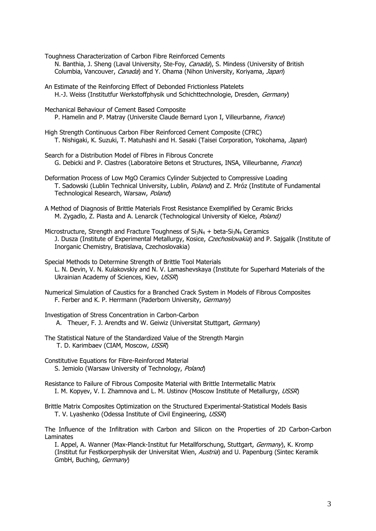- Toughness Characterization of Carbon Fibre Reinforced Cements N. Banthia, J. Sheng (Laval University, Ste-Foy, Canada), S. Mindess (University of British Columbia, Vancouver, Canada) and Y. Ohama (Nihon University, Koriyama, Japan)
- An Estimate of the Reinforcing Effect of Debonded Frictionless Platelets H.-J. Weiss (Institutfur Werkstoffphysik und Schichttechnologie, Dresden, Germany)
- Mechanical Behaviour of Cement Based Composite P. Hamelin and P. Matray (Universite Claude Bernard Lyon I, Villeurbanne, France)
- High Strength Continuous Carbon Fiber Reinforced Cement Composite (CFRC) T. Nishigaki, K. Suzuki, T. Matuhashi and H. Sasaki (Taisei Corporation, Yokohama, Japan)
- Search for a Distribution Model of Fibres in Fibrous Concrete G. Debicki and P. Clastres (Laboratoire Betons et Structures, INSA, Villeurbanne, France)
- Deformation Process of Low MgO Ceramics Cylinder Subjected to Compressive Loading T. Sadowski (Lublin Technical University, Lublin, *Poland*) and Z. Mróz (Institute of Fundamental Technological Research, Warsaw, Poland)
- A Method of Diagnosis of Brittle Materials Frost Resistance Exemplified by Ceramic Bricks M. Zygadlo, Z. Piasta and A. Lenarcik (Technological University of Kielce, Poland)
- Microstructure, Strength and Fracture Toughness of  $Si_3N_4 + beta-Si_3N_4$  Ceramics J. Dusza (Institute of Experimental Metallurgy, Kosice, Czechoslovakia) and P. Sajgalik (Institute of Inorganic Chemistry, Bratislava, Czechoslovakia)
- Special Methods to Determine Strength of Brittle Tool Materials L. N. Devin, V. N. Kulakovskiy and N. V. Lamashevskaya (Institute for Superhard Materials of the Ukrainian Academy of Sciences, Kiev, USSR)
- Numerical Simulation of Caustics for a Branched Crack System in Models of Fibrous Composites F. Ferber and K. P. Herrmann (Paderborn University, Germany)
- Investigation of Stress Concentration in Carbon-Carbon A. Theuer, F. J. Arendts and W. Geiwiz (Universitat Stuttgart, Germany)
- The Statistical Nature of the Standardized Value of the Strength Margin T. D. Karimbaev (CIAM, Moscow, USSR)
- Constitutive Equations for Fibre-Reinforced Material S. Jemiolo (Warsaw University of Technology, Poland)
- Resistance to Failure of Fibrous Composite Material with Brittle Intermetallic Matrix I. M. Kopyev, V. I. Zhamnova and L. M. Ustinov (Moscow Institute of Metallurgy, USSR)
- Brittle Matrix Composites Optimization on the Structured Experimental-Statistical Models Basis T. V. Lyashenko (Odessa Institute of Civil Engineering, USSR)
- The Influence of the Infiltration with Carbon and Silicon on the Properties of 2D Carbon-Carbon Laminates
	- I. Appel, A. Wanner (Max-Planck-Institut fur Metallforschung, Stuttgart, Germany), K. Kromp (Institut fur Festkorperphysik der Universitat Wien, Austria) and U. Papenburg (Sintec Keramik GmbH, Buching, Germany)